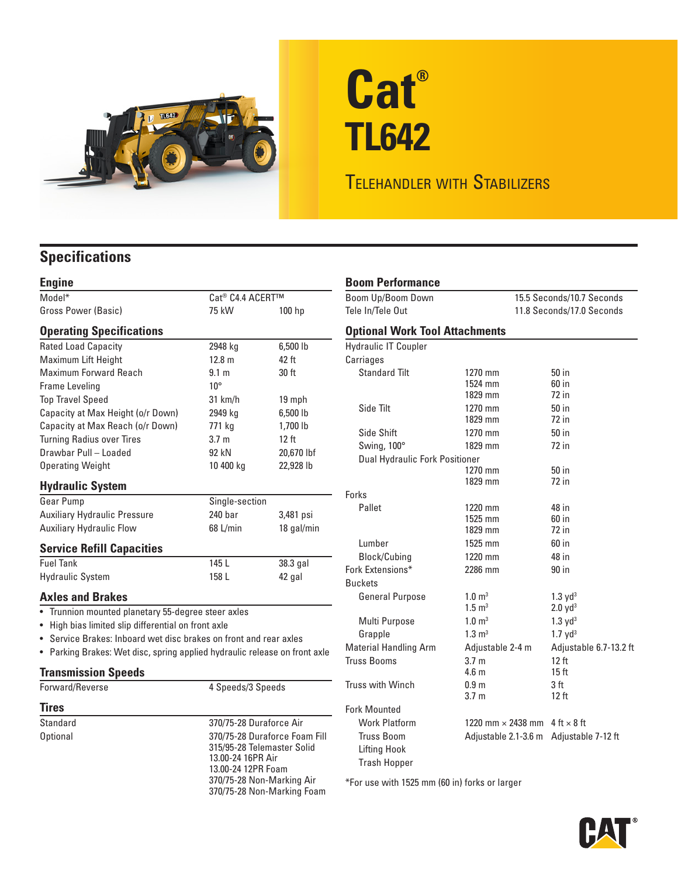

# **Cat® TL642**

## Telehandler with Stabilizers

### **Specifications**

| <b>Engine</b>                                                                                                                                                                                                                                                |                    |                  |
|--------------------------------------------------------------------------------------------------------------------------------------------------------------------------------------------------------------------------------------------------------------|--------------------|------------------|
| Model*                                                                                                                                                                                                                                                       | Cat® C4.4 ACERT™   |                  |
| Gross Power (Basic)                                                                                                                                                                                                                                          | 75 kW              | 100 hp           |
| <b>Operating Specifications</b>                                                                                                                                                                                                                              |                    |                  |
| <b>Rated Load Capacity</b>                                                                                                                                                                                                                                   | 2948 kg            | 6,500 lb         |
| Maximum Lift Height                                                                                                                                                                                                                                          | 12.8 <sub>m</sub>  | 42 ft            |
| Maximum Forward Reach                                                                                                                                                                                                                                        | 9.1 m              | 30 ft            |
| Frame Leveling                                                                                                                                                                                                                                               | $10^{\circ}$       |                  |
| <b>Top Travel Speed</b>                                                                                                                                                                                                                                      | $31$ km/h          | 19 mph           |
| Capacity at Max Height (o/r Down)                                                                                                                                                                                                                            | 2949 kg            | 6,500 lb         |
| Capacity at Max Reach (o/r Down)                                                                                                                                                                                                                             | 771 kg             | 1,700 lb         |
| <b>Turning Radius over Tires</b>                                                                                                                                                                                                                             | 3.7 <sub>m</sub>   | 12 <sub>ft</sub> |
| Drawbar Pull - Loaded                                                                                                                                                                                                                                        | 92 kN              | 20,670 lbf       |
| <b>Operating Weight</b>                                                                                                                                                                                                                                      | 10 400 kg          | 22,928 lb        |
| <b>Hydraulic System</b>                                                                                                                                                                                                                                      |                    |                  |
| Gear Pump                                                                                                                                                                                                                                                    | Single-section     |                  |
| <b>Auxiliary Hydraulic Pressure</b>                                                                                                                                                                                                                          | 240 <sub>bar</sub> | 3,481 psi        |
| <b>Auxiliary Hydraulic Flow</b>                                                                                                                                                                                                                              | 68 L/min           | 18 gal/min       |
| <b>Service Refill Capacities</b>                                                                                                                                                                                                                             |                    |                  |
| <b>Fuel Tank</b>                                                                                                                                                                                                                                             | 145 <sub>1</sub>   | 38.3 gal         |
| <b>Hydraulic System</b>                                                                                                                                                                                                                                      | 158 L              | 42 gal           |
| <b>Axles and Brakes</b>                                                                                                                                                                                                                                      |                    |                  |
| • Trunnion mounted planetary 55-degree steer axles<br>• High bias limited slip differential on front axle<br>• Service Brakes: Inboard wet disc brakes on front and rear axles<br>• Parking Brakes: Wet disc, spring applied hydraulic release on front axle |                    |                  |

#### **Transmission Speeds**

| Forward/Reverse | 4 Speeds/3 Speeds                                                                                                                                                 |  |
|-----------------|-------------------------------------------------------------------------------------------------------------------------------------------------------------------|--|
| <b>Tires</b>    |                                                                                                                                                                   |  |
| Standard        | 370/75-28 Duraforce Air                                                                                                                                           |  |
| Optional        | 370/75-28 Duraforce Foam Fill<br>315/95-28 Telemaster Solid<br>13.00-24 16PR Air<br>13.00-24 12PR Foam<br>370/75-28 Non-Marking Air<br>370/75-28 Non-Marking Foam |  |

#### **Boom Performance** Boom Up/Boom Down 15.5 Seconds/10.7 Seconds Tele In/Tele Out 11.8 Seconds/17.0 Seconds **Optional Work Tool Attachments** Hydraulic IT Coupler Carriages Standard Tilt 1270 mm 50 in<br>1524 mm 60 in 1524 mm 60 in<br>1829 mm 72 in 1829 mm Side Tilt 1270 mm 50 in 50 in 1270 mm 50 in 50 in 1829 mm 1829 mm Side Shift 1270 mm 50 in Swing, 100° 1829 mm 72 in Dual Hydraulic Fork Positioner 1270 mm 50 in<br>1829 mm 72 in 1829 mm Forks Pallet 1220 mm 48 in 48 in 1255 mm 48 in 1525 mm 1525 mm 60 in<br>1829 mm 72 in 1829 mm Lumber 1525 mm 60 in Block/Cubing 1220 mm 48 in Fork Extensions\* 2286 mm 90 in Buckets General Purpose  $1.0 \text{ m}^3$   $1.3 \text{ yd}^3$ <br> $1.5 \text{ m}^3$   $2.0 \text{ yd}^3$  $2.0$  yd<sup>3</sup> Multi Purpose 1.0 m<sup>3</sup> 1.3 yd<sup>3</sup> Grapple  $1.3 \text{ m}^3$  1.7 yd<sup>3</sup> Material Handling Arm Adjustable 2-4 m Adjustable 6.7-13.2 ft Truss Booms 3.7 m 12 ft 12 ft 15 ft 15 ft 15 ft 15 ft 15 ft 15 ft 15 ft 15 ft 15 ft 15 ft 15 ft 15 ft 15 ft 15 ft 15 ft 15 ft 15 ft 15 ft 15 ft 15 ft 15 ft 15 ft 15 ft 15 ft 15 ft 15 ft 15 ft 15 ft 15 ft 15 ft 15 ft 15 ft 4.6 m 15 ft Truss with Winch  $0.9 \text{ m}$  3 ft  $3.7 \text{ m}$  3 ft  $3.7 \text{ m}$  12 ft 3.7 m 12 ft Fork Mounted Work Platform 1220 mm  $\times$  2438 mm 4 ft  $\times$  8 ft Truss Boom Adjustable 2.1-3.6 m Adjustable 7-12 ft Lifting Hook Trash Hopper

\*For use with 1525 mm (60 in) forks or larger